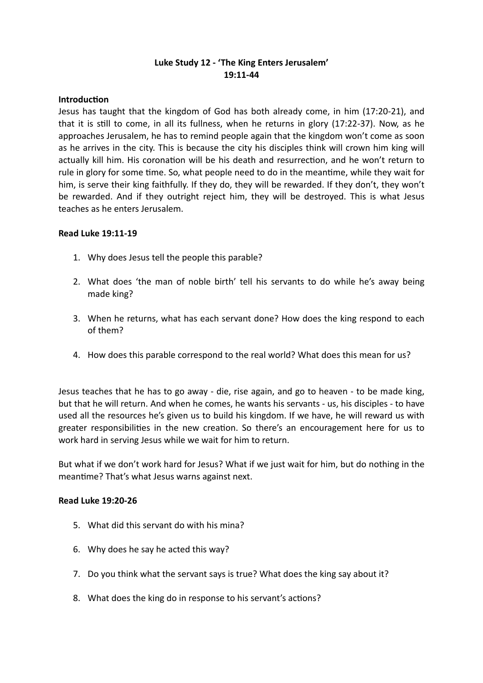# **Luke Study 12 - 'The King Enters Jerusalem' 19:11-44**

### **Introduction**

Jesus has taught that the kingdom of God has both already come, in him (17:20-21), and that it is still to come, in all its fullness, when he returns in glory (17:22-37). Now, as he approaches Jerusalem, he has to remind people again that the kingdom won't come as soon as he arrives in the city. This is because the city his disciples think will crown him king will actually kill him. His coronation will be his death and resurrection, and he won't return to rule in glory for some time. So, what people need to do in the meantime, while they wait for him, is serve their king faithfully. If they do, they will be rewarded. If they don't, they won't be rewarded. And if they outright reject him, they will be destroyed. This is what Jesus teaches as he enters Jerusalem.

#### **Read Luke 19:11-19**

- 1. Why does Jesus tell the people this parable?
- 2. What does 'the man of noble birth' tell his servants to do while he's away being made king?
- 3. When he returns, what has each servant done? How does the king respond to each of them?
- 4. How does this parable correspond to the real world? What does this mean for us?

Jesus teaches that he has to go away - die, rise again, and go to heaven - to be made king, but that he will return. And when he comes, he wants his servants - us, his disciples - to have used all the resources he's given us to build his kingdom. If we have, he will reward us with greater responsibilities in the new creation. So there's an encouragement here for us to work hard in serving Jesus while we wait for him to return.

But what if we don't work hard for Jesus? What if we just wait for him, but do nothing in the meantime? That's what Jesus warns against next.

#### **Read Luke 19:20-26**

- 5. What did this servant do with his mina?
- 6. Why does he say he acted this way?
- 7. Do you think what the servant says is true? What does the king say about it?
- 8. What does the king do in response to his servant's actions?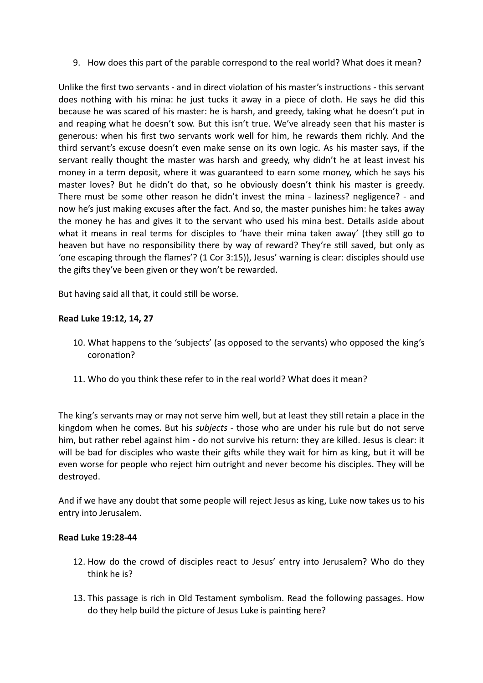9. How does this part of the parable correspond to the real world? What does it mean?

Unlike the first two servants - and in direct violation of his master's instructions - this servant does nothing with his mina: he just tucks it away in a piece of cloth. He says he did this because he was scared of his master: he is harsh, and greedy, taking what he doesn't put in and reaping what he doesn't sow. But this isn't true. We've already seen that his master is generous: when his first two servants work well for him, he rewards them richly. And the third servant's excuse doesn't even make sense on its own logic. As his master says, if the servant really thought the master was harsh and greedy, why didn't he at least invest his money in a term deposit, where it was guaranteed to earn some money, which he says his master loves? But he didn't do that, so he obviously doesn't think his master is greedy. There must be some other reason he didn't invest the mina - laziness? negligence? - and now he's just making excuses after the fact. And so, the master punishes him: he takes away the money he has and gives it to the servant who used his mina best. Details aside about what it means in real terms for disciples to 'have their mina taken away' (they still go to heaven but have no responsibility there by way of reward? They're still saved, but only as 'one escaping through the flames'? (1 Cor 3:15)), Jesus' warning is clear: disciples should use the gifts they've been given or they won't be rewarded.

But having said all that, it could still be worse.

# **Read Luke 19:12, 14, 27**

- 10. What happens to the 'subjects' (as opposed to the servants) who opposed the king's coronation?
- 11. Who do you think these refer to in the real world? What does it mean?

The king's servants may or may not serve him well, but at least they still retain a place in the kingdom when he comes. But his *subjects* - those who are under his rule but do not serve him, but rather rebel against him - do not survive his return: they are killed. Jesus is clear: it will be bad for disciples who waste their gifts while they wait for him as king, but it will be even worse for people who reject him outright and never become his disciples. They will be destroyed.

And if we have any doubt that some people will reject Jesus as king, Luke now takes us to his entry into Jerusalem.

#### **Read Luke 19:28-44**

- 12. How do the crowd of disciples react to Jesus' entry into Jerusalem? Who do they think he is?
- 13. This passage is rich in Old Testament symbolism. Read the following passages. How do they help build the picture of Jesus Luke is painting here?